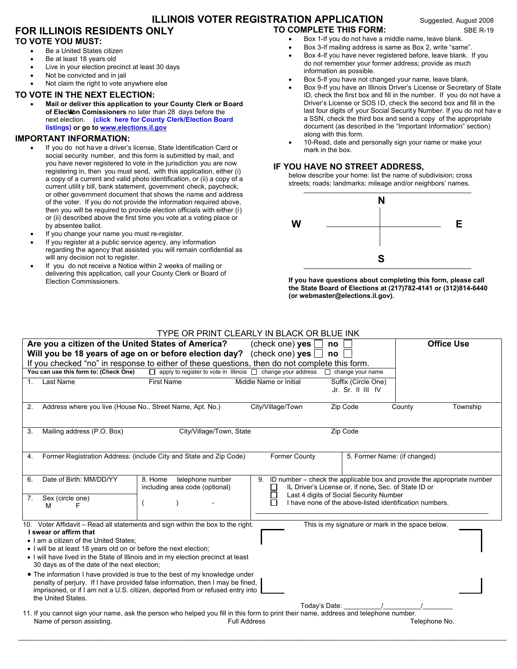# **ILLINOIS VOTER REGISTRATION APPLICATION** Suggested, August 2008 **TO COMPLETE THIS FORM:** SBE R-19

# **FOR ILLINOIS RESIDENTS ONLY TO VOTE YOU MUST:**

#### Be a United States citizen

- Be at least 18 years old
- Live in your election precinct at least 30 days
- Not be convicted and in jail
- Not claim the right to vote anywhere else

## **TO VOTE IN THE NEXT ELECTION:**

 **Mail or deliver this application to your County Clerk or Board of Elechon Comissioners** no later than 28 days before the next election. **[\(click here for County Clerk/Election Board](http://www.elections.il.gov/ElectionAuthorities/ElecAuthorityList.aspx)  [listings\)](http://www.elections.il.gov/ElectionAuthorities/ElecAuthorityList.aspx) or go t[o www.elections.il.gov](http://www.elections.il.gov)**

### **IMPORTANT INFORMATION:**

- If you do not have a driver's license, State Identification Card or social security number, and this form is submitted by mail, and you have never registered to vote in the jurisdiction you are now registering in, then you must send, with this application, either (i) a copy of a current and valid photo identification, or (ii) a copy of a current utility bill, bank statement, government check, paycheck, or other government document that shows the name and address of the voter. If you do not provide the information required above, then you will be required to provide election officials with either (i) or (ii) described above the first time you vote at a voting place or by absentee ballot.
- If you change your name you must re-register.
- If you register at a public service agency, any information regarding the agency that assisted you will remain confidential as will any decision not to register.
- If you do not receive a Notice within 2 weeks of mailing or delivering this application, call your County Clerk or Board of Election Commissioners.
- 
- Box 1-If you do not have a middle name, leave blank.
- Box 3-If mailing address is same as Box 2, write "same".
- Box 4-If you have never registered before, leave blank. If you do not remember your former address; provide as much information as possible.
- Box 5-If you have not changed your name, leave blank.
- Box 9-If you have an Illinois Driver's License or Secretary of State ID, check the first box and fill in the number. If you do not have a Driver's License or SOS ID, check the second box and fill in the last four digits of your Social Security Number. If you do not hav e a SSN, check the third box and send a copy of the appropriate document (as described in the "Important Information" section) along with this form.
- 10-Read, date and personally sign your name or make your mark in the box.

#### **IF YOU HAVE NO STREET ADDRESS,**

below describe your home: list the name of subdivision; cross streets; roads; landmarks; mileage and/or neighbors' names.



**If you have questions about completing this form, please call the State Board of Elections at (217)782-4141 or (312)814-6440 (or webmaster@elections.il.gov).** 

## TYPE OR PRINT CLEARLY IN BLACK OR BLUE INK

|             | Are you a citizen of the United States of America?                                                                                                                                    | Will you be 18 years of age on or before election day?                                                                                                                                                                                          | (check one) yes<br>(check one) $yes [$ | no<br>no                                                                                        | <b>Office Use</b>                                                       |
|-------------|---------------------------------------------------------------------------------------------------------------------------------------------------------------------------------------|-------------------------------------------------------------------------------------------------------------------------------------------------------------------------------------------------------------------------------------------------|----------------------------------------|-------------------------------------------------------------------------------------------------|-------------------------------------------------------------------------|
|             |                                                                                                                                                                                       | If you checked "no" in response to either of these questions, then do not complete this form.<br>$\Box$ apply to register to vote in Illinois $\Box$ change your address                                                                        |                                        | $\Box$ change your name                                                                         |                                                                         |
|             | You can use this form to: (Check One)                                                                                                                                                 |                                                                                                                                                                                                                                                 |                                        |                                                                                                 |                                                                         |
| $1_{\cdot}$ | <b>Last Name</b>                                                                                                                                                                      | <b>First Name</b>                                                                                                                                                                                                                               | Middle Name or Initial                 | Suffix (Circle One)<br>Jr. Sr. II III IV                                                        |                                                                         |
| 2.          | Address where you live (House No., Street Name, Apt. No.)                                                                                                                             |                                                                                                                                                                                                                                                 | City/Village/Town                      | Zip Code                                                                                        | Township<br>County                                                      |
| 3.          | Mailing address (P.O. Box)                                                                                                                                                            | City/Village/Town, State                                                                                                                                                                                                                        |                                        | Zip Code                                                                                        |                                                                         |
| 4.          |                                                                                                                                                                                       | Former Registration Address: (include City and State and Zip Code)                                                                                                                                                                              | <b>Former County</b>                   | 5. Former Name: (if changed)                                                                    |                                                                         |
| 6.          | Date of Birth: MM/DD/YY                                                                                                                                                               | telephone number<br>8. Home<br>including area code (optional)                                                                                                                                                                                   | 9.                                     | IL Driver's License or, if none, Sec. of State ID or<br>Last 4 digits of Social Security Number | ID number – check the applicable box and provide the appropriate number |
| 7.          | Sex (circle one)<br>м<br>F                                                                                                                                                            |                                                                                                                                                                                                                                                 |                                        | I have none of the above-listed identification numbers.                                         |                                                                         |
|             | I swear or affirm that<br>• I am a citizen of the United States:<br>• I will be at least 18 years old on or before the next election;<br>30 days as of the date of the next election; | 10. Voter Affidavit - Read all statements and sign within the box to the right.<br>• I will have lived in the State of Illinois and in my election precinct at least                                                                            |                                        | This is my signature or mark in the space below.                                                |                                                                         |
|             | the United States.                                                                                                                                                                    | • The information I have provided is true to the best of my knowledge under<br>penalty of perjury. If I have provided false information, then I may be fined,<br>imprisoned, or if I am not a U.S. citizen, deported from or refused entry into |                                        |                                                                                                 |                                                                         |
|             | Name of person assisting.                                                                                                                                                             | 11. If you cannot sign your name, ask the person who helped you fill in this form to print their name, address and telephone number.                                                                                                            | <b>Full Address</b>                    | Today's Date:                                                                                   | Telephone No.                                                           |

\_\_\_\_\_\_\_\_\_\_\_\_\_\_\_\_\_\_\_\_\_\_\_\_\_\_\_\_\_\_\_\_\_\_\_\_\_\_\_\_\_\_\_\_\_\_\_\_\_\_\_\_\_\_\_\_\_\_\_\_\_\_\_\_\_\_\_\_\_\_\_\_\_\_\_\_\_\_\_\_\_\_\_\_\_\_\_\_\_\_\_\_\_\_\_\_\_\_\_\_\_\_\_\_\_\_\_\_\_\_\_\_\_\_\_\_\_\_\_\_\_\_\_\_\_\_\_\_\_\_